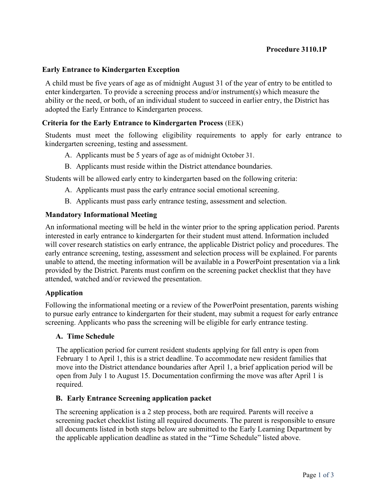## Procedure 3110.1P

### Early Entrance to Kindergarten Exception

A child must be five years of age as of midnight August 31 of the year of entry to be entitled to enter kindergarten. To provide a screening process and/or instrument(s) which measure the ability or the need, or both, of an individual student to succeed in earlier entry, the District has adopted the Early Entrance to Kindergarten process.

### Criteria for the Early Entrance to Kindergarten Process (EEK)

Students must meet the following eligibility requirements to apply for early entrance to kindergarten screening, testing and assessment.

- A. Applicants must be 5 years of age as of midnight October 31.
- B. Applicants must reside within the District attendance boundaries.

Students will be allowed early entry to kindergarten based on the following criteria:

- A. Applicants must pass the early entrance social emotional screening.
- B. Applicants must pass early entrance testing, assessment and selection.

### Mandatory Informational Meeting

An informational meeting will be held in the winter prior to the spring application period. Parents interested in early entrance to kindergarten for their student must attend. Information included will cover research statistics on early entrance, the applicable District policy and procedures. The early entrance screening, testing, assessment and selection process will be explained. For parents unable to attend, the meeting information will be available in a PowerPoint presentation via a link provided by the District. Parents must confirm on the screening packet checklist that they have attended, watched and/or reviewed the presentation.

#### Application

Following the informational meeting or a review of the PowerPoint presentation, parents wishing to pursue early entrance to kindergarten for their student, may submit a request for early entrance screening. Applicants who pass the screening will be eligible for early entrance testing.

#### A. Time Schedule

The application period for current resident students applying for fall entry is open from February 1 to April 1, this is a strict deadline. To accommodate new resident families that move into the District attendance boundaries after April 1, a brief application period will be open from July 1 to August 15. Documentation confirming the move was after April 1 is required.

## B. Early Entrance Screening application packet

The screening application is a 2 step process, both are required. Parents will receive a screening packet checklist listing all required documents. The parent is responsible to ensure all documents listed in both steps below are submitted to the Early Learning Department by the applicable application deadline as stated in the "Time Schedule" listed above.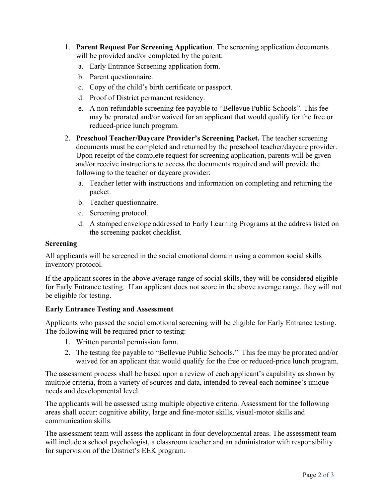- 1. Parent Request For Screening Application. The screening application documents will be provided and/or completed by the parent:
	- a. Early Entrance Screening application form.
	- b. Parent questionnaire.
	- c. Copy of the child's birth certificate or passport.
	- d. Proof of District permanent residency.
	- e. A non-refundable screening fee payable to "Bellevue Public Schools". This fee may be prorated and/or waived for an applicant that would qualify for the free or reduced-price lunch program.
- 2. Preschool Teacher/Daycare Provider's Screening Packet. The teacher screening documents must be completed and returned by the preschool teacher/daycare provider. Upon receipt of the complete request for screening application, parents will be given and/or receive instructions to access the documents required and will provide the following to the teacher or daycare provider:
	- a. Teacher letter with instructions and information on completing and returning the packet.
	- b. Teacher questionnaire.
	- c. Screening protocol.
	- d. A stamped envelope addressed to Early Learning Programs at the address listed on the screening packet checklist.

## Screening

All applicants will be screened in the social emotional domain using a common social skills inventory protocol.

If the applicant scores in the above average range of social skills, they will be considered eligible for Early Entrance testing. If an applicant does not score in the above average range, they will not be eligible for testing.

# Early Entrance Testing and Assessment

Applicants who passed the social emotional screening will be eligible for Early Entrance testing. The following will be required prior to testing:

- 1. Written parental permission form.
- 2. The testing fee payable to "Bellevue Public Schools." This fee may be prorated and/or waived for an applicant that would qualify for the free or reduced-price lunch program.

The assessment process shall be based upon a review of each applicant's capability as shown by multiple criteria, from a variety of sources and data, intended to reveal each nominee's unique needs and developmental level.

The applicants will be assessed using multiple objective criteria. Assessment for the following areas shall occur: cognitive ability, large and fine-motor skills, visual-motor skills and communication skills.

The assessment team will assess the applicant in four developmental areas. The assessment team will include a school psychologist, a classroom teacher and an administrator with responsibility for supervision of the District's EEK program.